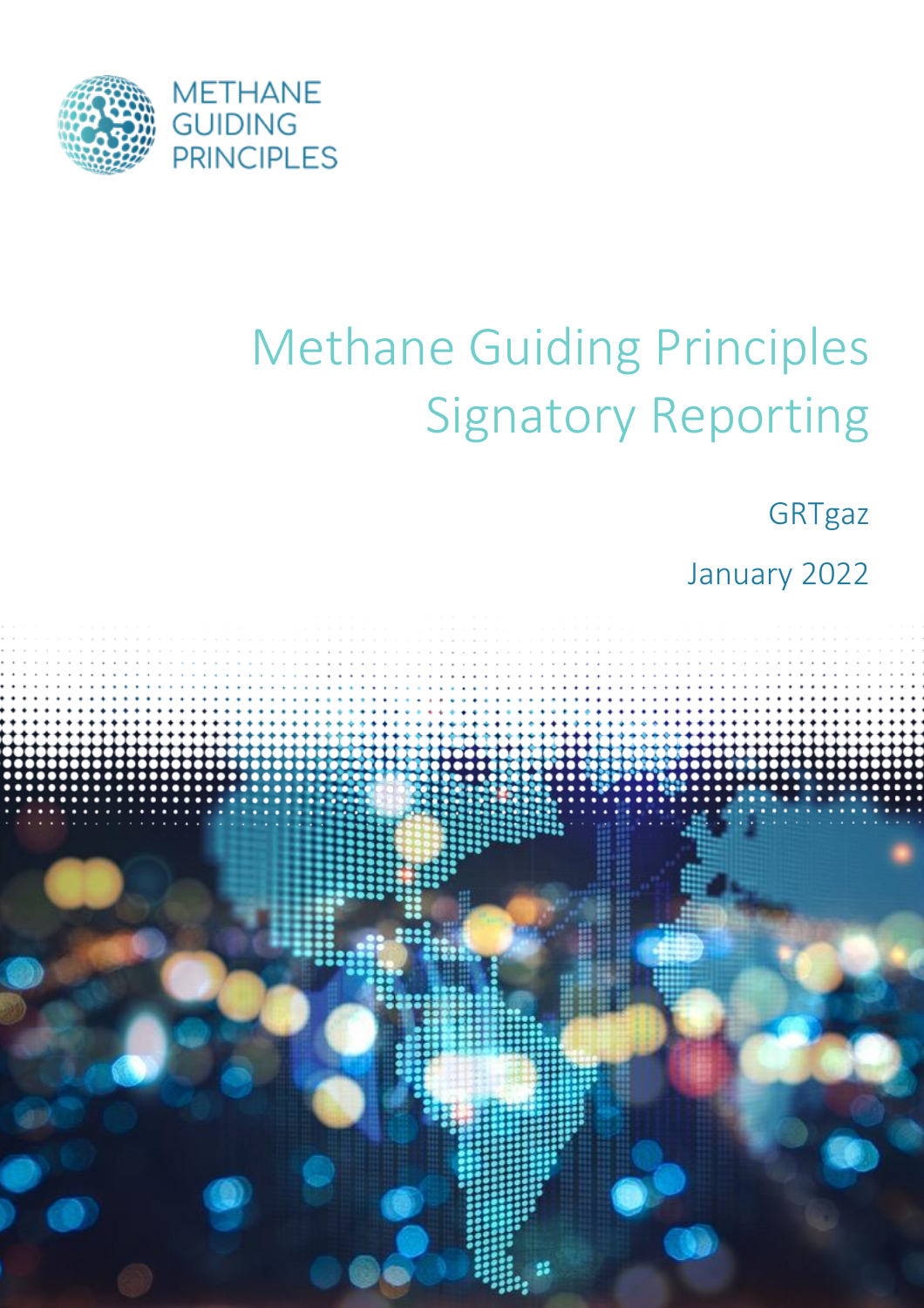

# Methane Guiding Principles Signatory Reporting

**GRTgaz** 

January 2022

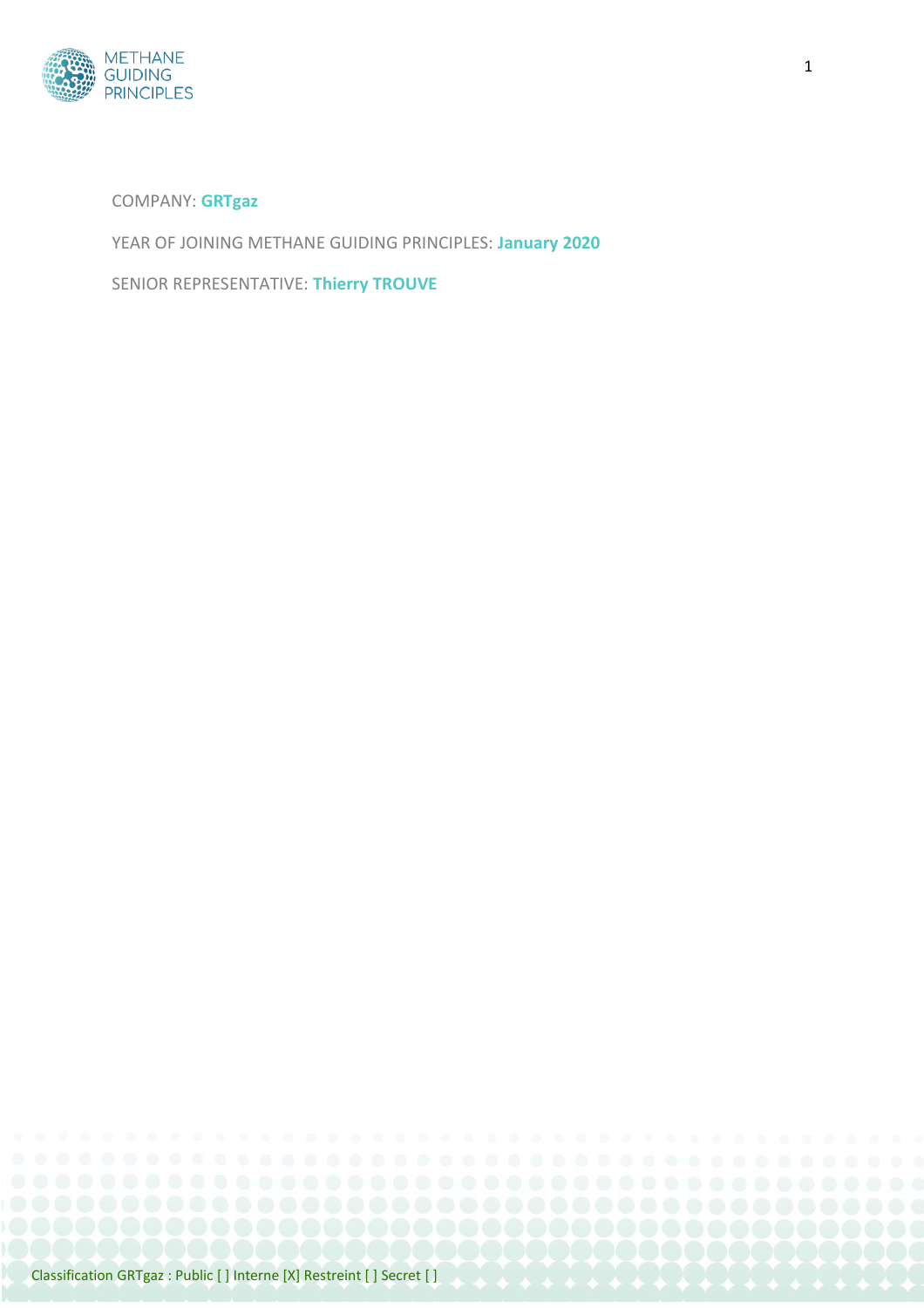

#### COMPANY: **GRTgaz**

YEAR OF JOINING METHANE GUIDING PRINCIPLES: **January 2020**

SENIOR REPRESENTATIVE: **Thierry TROUVE**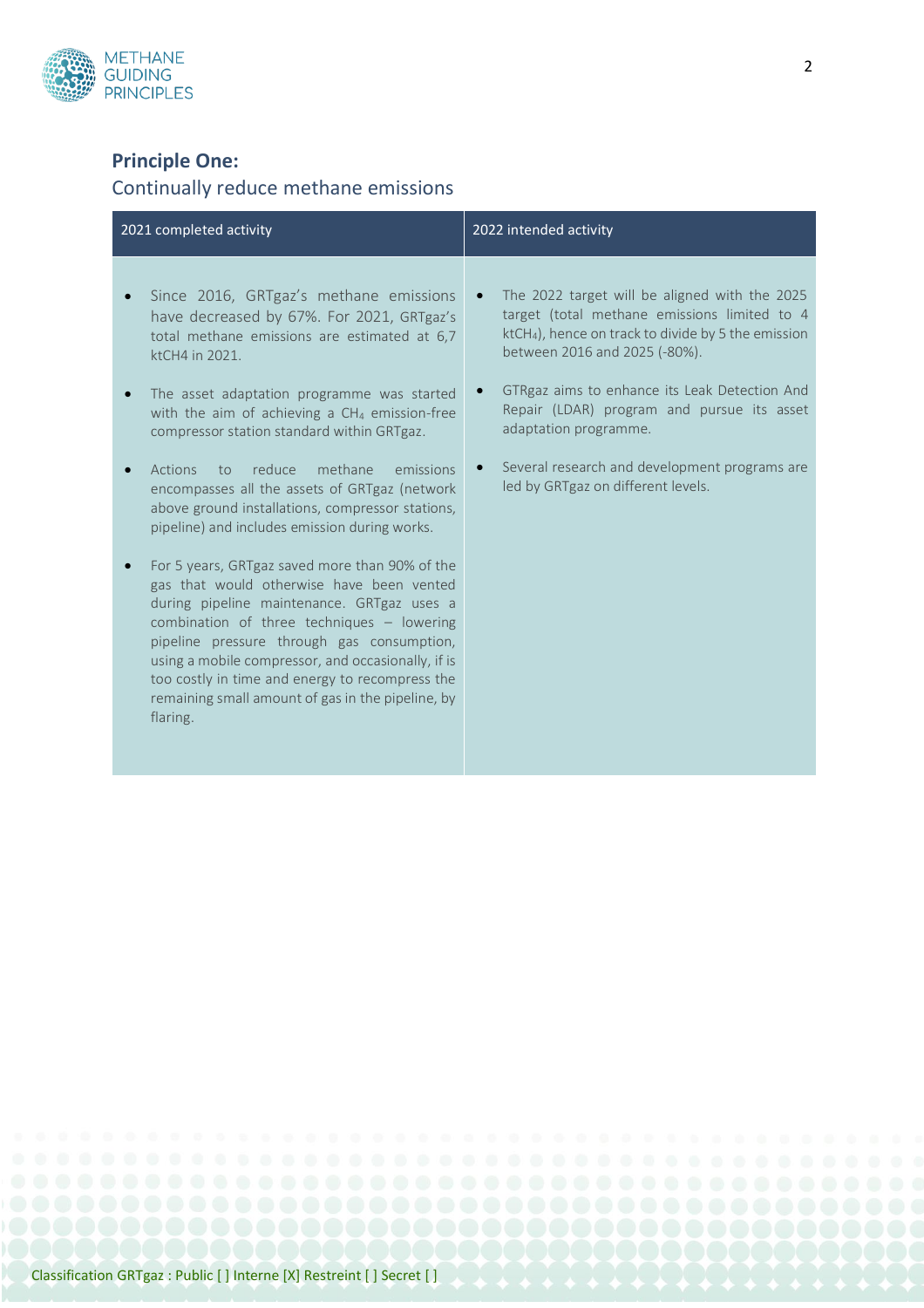

## **Principle One:**

# Continually reduce methane emissions

| 2021 completed activity                                                                                                                                                                                                                                                                                                                                                                                                                                                                                                                                                                                                                                                                                                                                                                                                                                                                                                          | 2022 intended activity                                                                                                                                                                                                                                                                                                                                                                                              |
|----------------------------------------------------------------------------------------------------------------------------------------------------------------------------------------------------------------------------------------------------------------------------------------------------------------------------------------------------------------------------------------------------------------------------------------------------------------------------------------------------------------------------------------------------------------------------------------------------------------------------------------------------------------------------------------------------------------------------------------------------------------------------------------------------------------------------------------------------------------------------------------------------------------------------------|---------------------------------------------------------------------------------------------------------------------------------------------------------------------------------------------------------------------------------------------------------------------------------------------------------------------------------------------------------------------------------------------------------------------|
| Since 2016, GRTgaz's methane emissions<br>have decreased by 67%. For 2021, GRTgaz's<br>total methane emissions are estimated at 6,7<br>ktCH4 in 2021.<br>The asset adaptation programme was started<br>with the aim of achieving a $CH4$ emission-free<br>compressor station standard within GRTgaz.<br>reduce<br>methane<br>Actions<br>emissions<br>to<br>encompasses all the assets of GRTgaz (network<br>above ground installations, compressor stations,<br>pipeline) and includes emission during works.<br>For 5 years, GRTgaz saved more than 90% of the<br>gas that would otherwise have been vented<br>during pipeline maintenance. GRTgaz uses a<br>combination of three techniques - lowering<br>pipeline pressure through gas consumption,<br>using a mobile compressor, and occasionally, if is<br>too costly in time and energy to recompress the<br>remaining small amount of gas in the pipeline, by<br>flaring. | The 2022 target will be aligned with the 2025<br>$\bullet$<br>target (total methane emissions limited to 4<br>$ktCH4$ ), hence on track to divide by 5 the emission<br>between 2016 and 2025 (-80%).<br>GTRgaz aims to enhance its Leak Detection And<br>Repair (LDAR) program and pursue its asset<br>adaptation programme.<br>Several research and development programs are<br>led by GRTgaz on different levels. |
|                                                                                                                                                                                                                                                                                                                                                                                                                                                                                                                                                                                                                                                                                                                                                                                                                                                                                                                                  |                                                                                                                                                                                                                                                                                                                                                                                                                     |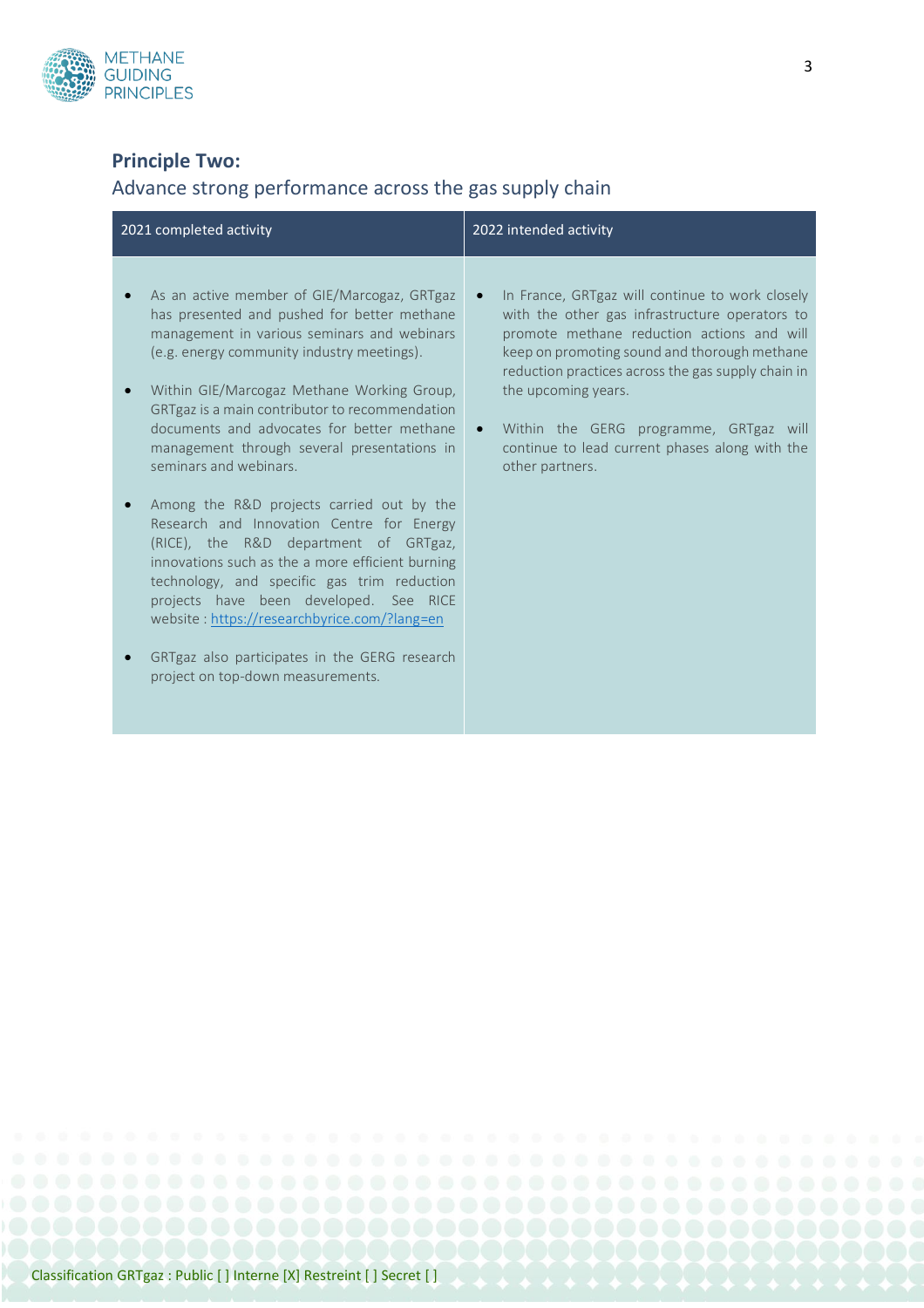

## **Principle Two:**

## Advance strong performance across the gas supply chain

| 2021 completed activity                                                                                                                                                                                                                                                                                                                                                                                                                                                                                                                                                                                                                                                                                                                                                                                                              | 2022 intended activity                                                                                                                                                                                                                                                                                                                                                                                   |
|--------------------------------------------------------------------------------------------------------------------------------------------------------------------------------------------------------------------------------------------------------------------------------------------------------------------------------------------------------------------------------------------------------------------------------------------------------------------------------------------------------------------------------------------------------------------------------------------------------------------------------------------------------------------------------------------------------------------------------------------------------------------------------------------------------------------------------------|----------------------------------------------------------------------------------------------------------------------------------------------------------------------------------------------------------------------------------------------------------------------------------------------------------------------------------------------------------------------------------------------------------|
| As an active member of GIE/Marcogaz, GRTgaz<br>has presented and pushed for better methane<br>management in various seminars and webinars<br>(e.g. energy community industry meetings).<br>Within GIE/Marcogaz Methane Working Group,<br>GRTgaz is a main contributor to recommendation<br>documents and advocates for better methane<br>management through several presentations in<br>seminars and webinars.<br>Among the R&D projects carried out by the<br>Research and Innovation Centre for Energy<br>(RICE), the R&D department of GRTgaz,<br>innovations such as the a more efficient burning<br>technology, and specific gas trim reduction<br>projects have been developed. See RICE<br>website: https://researchbyrice.com/?lang=en<br>GRTgaz also participates in the GERG research<br>project on top-down measurements. | In France, GRTgaz will continue to work closely<br>with the other gas infrastructure operators to<br>promote methane reduction actions and will<br>keep on promoting sound and thorough methane<br>reduction practices across the gas supply chain in<br>the upcoming years.<br>Within the GERG programme, GRTgaz will<br>$\bullet$<br>continue to lead current phases along with the<br>other partners. |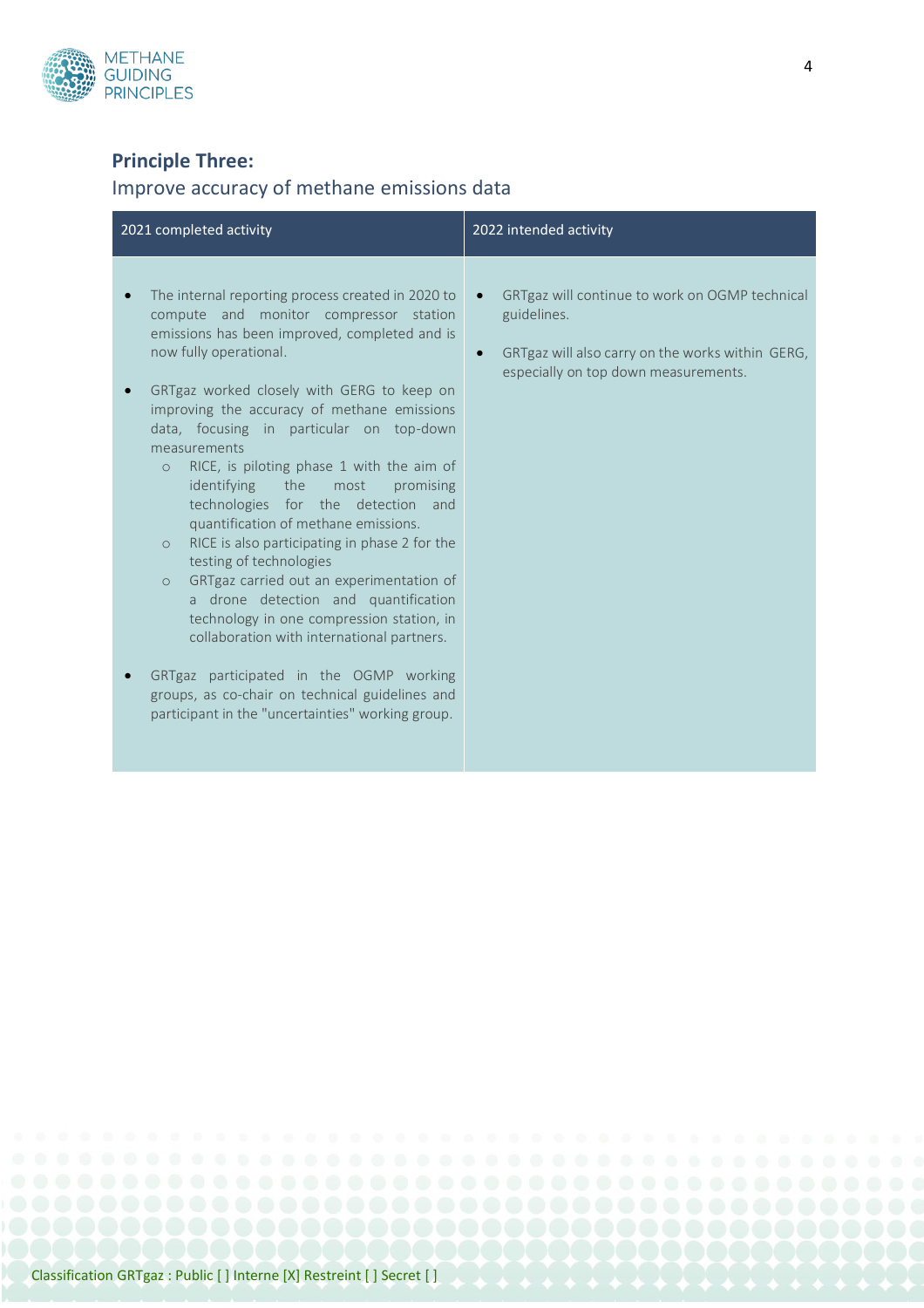

## **Principle Three:**

## Improve accuracy of methane emissions data

| 2021 completed activity                                                                                                                                                                                                                                                                                                                                                                                                                                                                                                                                                                                                                                                                                                                                                                                                                                                                                                                                   | 2022 intended activity                                                                                                                                    |
|-----------------------------------------------------------------------------------------------------------------------------------------------------------------------------------------------------------------------------------------------------------------------------------------------------------------------------------------------------------------------------------------------------------------------------------------------------------------------------------------------------------------------------------------------------------------------------------------------------------------------------------------------------------------------------------------------------------------------------------------------------------------------------------------------------------------------------------------------------------------------------------------------------------------------------------------------------------|-----------------------------------------------------------------------------------------------------------------------------------------------------------|
| The internal reporting process created in 2020 to<br>compute and monitor compressor station<br>emissions has been improved, completed and is<br>now fully operational.<br>GRTgaz worked closely with GERG to keep on<br>improving the accuracy of methane emissions<br>data, focusing in particular on top-down<br>measurements<br>RICE, is piloting phase 1 with the aim of<br>$\Omega$<br>identifying<br>the the<br>most<br>promising<br>technologies for the detection and<br>quantification of methane emissions.<br>RICE is also participating in phase 2 for the<br>$\circ$<br>testing of technologies<br>GRTgaz carried out an experimentation of<br>$\circ$<br>a drone detection and quantification<br>technology in one compression station, in<br>collaboration with international partners.<br>GRTgaz participated in the OGMP working<br>groups, as co-chair on technical guidelines and<br>participant in the "uncertainties" working group. | GRTgaz will continue to work on OGMP technical<br>guidelines.<br>GRTgaz will also carry on the works within GERG,<br>especially on top down measurements. |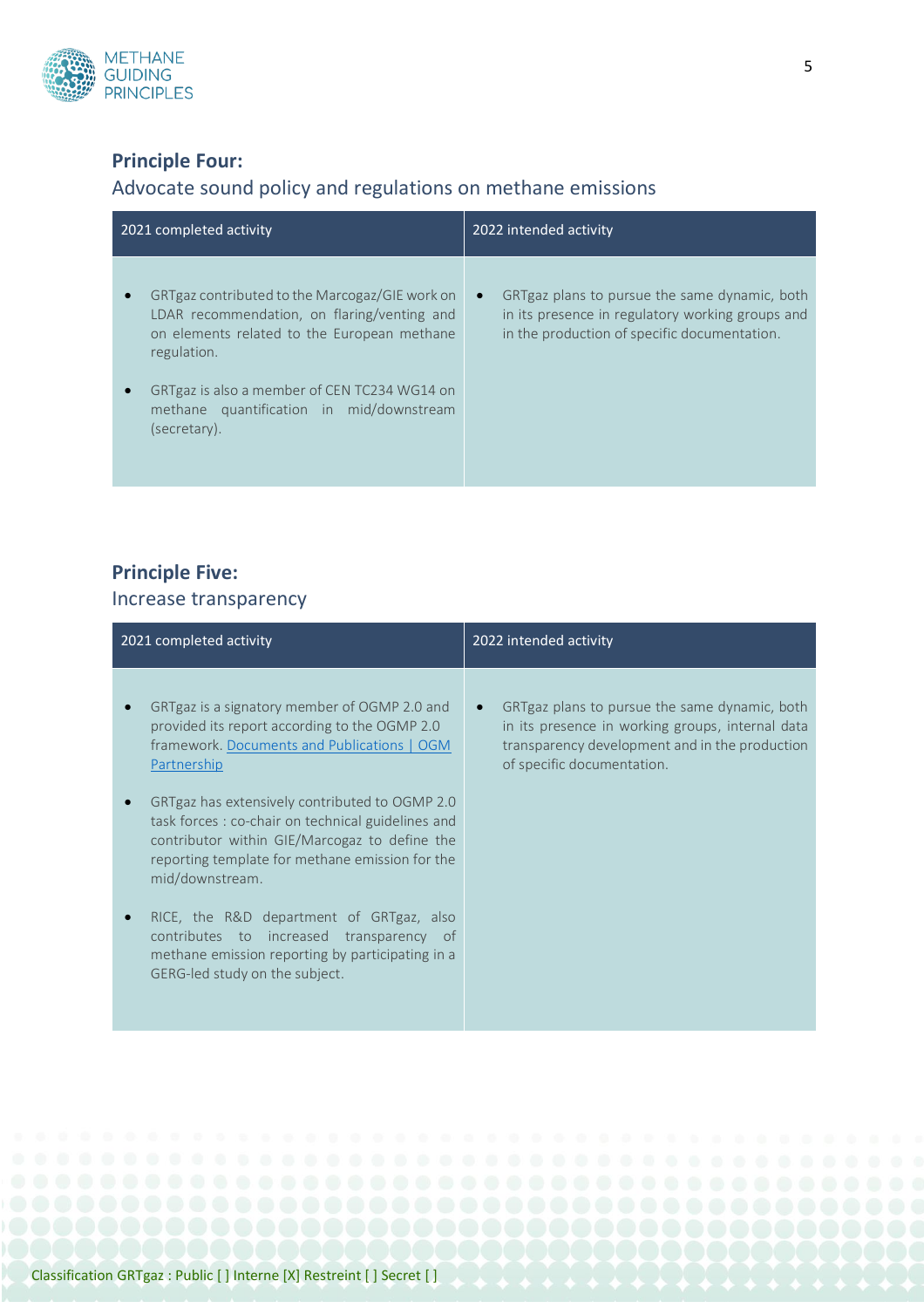

## **Principle Four:**

## Advocate sound policy and regulations on methane emissions

| 2021 completed activity                                                                                                                                                                                     | 2022 intended activity                                                                                                                                         |
|-------------------------------------------------------------------------------------------------------------------------------------------------------------------------------------------------------------|----------------------------------------------------------------------------------------------------------------------------------------------------------------|
| GRTgaz contributed to the Marcogaz/GIE work on<br>LDAR recommendation, on flaring/venting and<br>on elements related to the European methane<br>regulation.<br>GRTgaz is also a member of CEN TC234 WG14 on | GRTgaz plans to pursue the same dynamic, both<br>$\bullet$<br>in its presence in regulatory working groups and<br>in the production of specific documentation. |
| methane quantification in mid/downstream<br>(secretary).                                                                                                                                                    |                                                                                                                                                                |

# **Principle Five:**

#### Increase transparency

| 2021 completed activity                                                                                                                                                                                                                                                                                                                                                                                                                                                                                                                                                            | 2022 intended activity                                                                                                                                                            |
|------------------------------------------------------------------------------------------------------------------------------------------------------------------------------------------------------------------------------------------------------------------------------------------------------------------------------------------------------------------------------------------------------------------------------------------------------------------------------------------------------------------------------------------------------------------------------------|-----------------------------------------------------------------------------------------------------------------------------------------------------------------------------------|
| GRTgaz is a signatory member of OGMP 2.0 and<br>provided its report according to the OGMP 2.0<br>framework. Documents and Publications   OGM<br>Partnership<br>GRTgaz has extensively contributed to OGMP 2.0<br>task forces : co-chair on technical guidelines and<br>contributor within GIE/Marcogaz to define the<br>reporting template for methane emission for the<br>mid/downstream.<br>RICE, the R&D department of GRTgaz, also<br>contributes to<br>increased<br>transparency<br>of.<br>methane emission reporting by participating in a<br>GERG-led study on the subject. | GRTgaz plans to pursue the same dynamic, both<br>in its presence in working groups, internal data<br>transparency development and in the production<br>of specific documentation. |